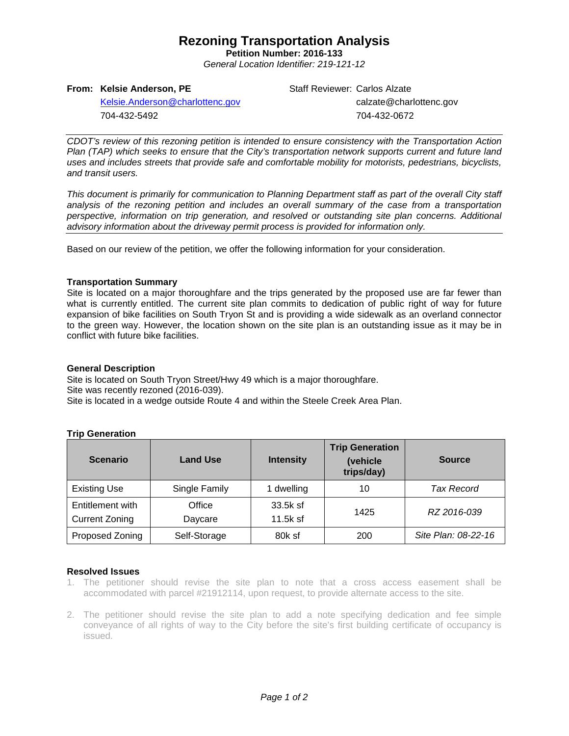# **Rezoning Transportation Analysis**

**Petition Number: 2016-133** *General Location Identifier: 219-121-12*

#### **From: Kelsie Anderson, PE**

Staff Reviewer: Carlos Alzate calzate@charlottenc.gov 704-432-0672

[Kelsie.Anderson@charlottenc.gov](mailto:Kelsie.Anderson@charlottenc.gov) 704-432-5492

*CDOT's review of this rezoning petition is intended to ensure consistency with the Transportation Action Plan (TAP) which seeks to ensure that the City's transportation network supports current and future land uses and includes streets that provide safe and comfortable mobility for motorists, pedestrians, bicyclists, and transit users.*

*This document is primarily for communication to Planning Department staff as part of the overall City staff analysis of the rezoning petition and includes an overall summary of the case from a transportation perspective, information on trip generation, and resolved or outstanding site plan concerns. Additional advisory information about the driveway permit process is provided for information only.*

Based on our review of the petition, we offer the following information for your consideration.

## **Transportation Summary**

Site is located on a major thoroughfare and the trips generated by the proposed use are far fewer than what is currently entitled. The current site plan commits to dedication of public right of way for future expansion of bike facilities on South Tryon St and is providing a wide sidewalk as an overland connector to the green way. However, the location shown on the site plan is an outstanding issue as it may be in conflict with future bike facilities.

#### **General Description**

Site is located on South Tryon Street/Hwy 49 which is a major thoroughfare. Site was recently rezoned (2016-039). Site is located in a wedge outside Route 4 and within the Steele Creek Area Plan.

| <b>Scenario</b>                           | <b>Land Use</b>   | <b>Intensity</b>       | <b>Trip Generation</b><br>(vehicle<br>trips/day) | <b>Source</b>       |  |
|-------------------------------------------|-------------------|------------------------|--------------------------------------------------|---------------------|--|
| <b>Existing Use</b>                       | Single Family     | dwelling               | 10                                               | <b>Tax Record</b>   |  |
| Entitlement with<br><b>Current Zoning</b> | Office<br>Daycare | 33.5k sf<br>$11.5k$ sf | 1425                                             | RZ 2016-039         |  |
| Proposed Zoning                           | Self-Storage      | 80k sf                 | 200                                              | Site Plan: 08-22-16 |  |

# **Trip Generation**

#### **Resolved Issues**

- 1. The petitioner should revise the site plan to note that a cross access easement shall be accommodated with parcel #21912114, upon request, to provide alternate access to the site.
- 2. The petitioner should revise the site plan to add a note specifying dedication and fee simple conveyance of all rights of way to the City before the site's first building certificate of occupancy is issued.